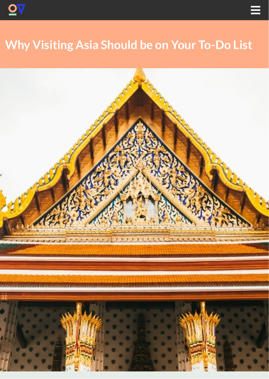

# **Why Visiting Asia Should be on Your To-Do List**

 $\equiv$ 

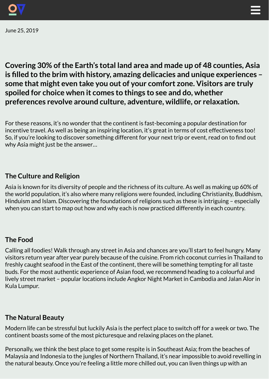



June 25, 2019

**Covering 30% ofthe Earth's total land area and made up of 48 counties, Asia is lled to the brim with history, amazing delicacies and unique experiences – some that might even take you out of your comfort zone. Visitors are truly spoiled for choice when it comes to things to see and do, whether preferences revolve around culture, adventure, wildlife, or relaxation.**

For these reasons, it's no wonder that the continent is fast-becoming a popular destination for incentive travel. As well as being an inspiring location, it's great in terms of cost effectiveness too! So, if you're looking to discover something different for your next trip or event, read on to find out why Asia might just be the answer...

#### **The Culture and Religion**

Asia is known for its diversity of people and the richness of its culture. As well as making up 60% of the world population, it's also where many religions were founded, including Christianity, Buddhism, Hinduism and Islam. Discovering the foundations of religions such as these is intriguing – especially when you can start to map out how and why each is now practiced differently in each country.

#### **The Food**

Calling all foodies! Walk through any street in Asia and chances are you'll start to feel hungry. Many visitors return year after year purely because of the cuisine. From rich coconut curries in Thailand to freshly caught seafood in the East of the continent, there will be something tempting for all taste buds. For the most authentic experience of Asian food, we recommend heading to a colourful and lively street market – popular locations include Angkor Night Market in Cambodia and Jalan Alor in Kula Lumpur.

#### **The Natural Beauty**

Modern life can be stressful but luckily Asia is the perfect place to switch off for a week or two. The continent boasts some of the most picturesque and relaxing places on the planet.

Personally, we think the best place to get some respite is in Southeast Asia; from the beaches of Malaysia and Indonesia to the jungles of Northern Thailand, it's near impossible to avoid revelling in the natural beauty. Once you're feeling a little more chilled out, you can liven things up with an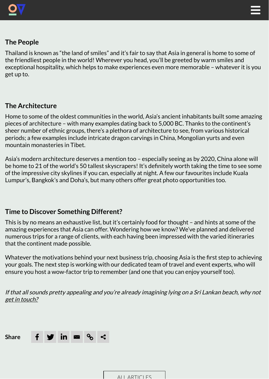



## **The People**

Thailand is known as "the land of smiles" and it's fair to say that Asia in general is home to some of the friendliest people in the world! Wherever you head, you'll be greeted by warm smiles and exceptional hospitality, which helps to make experiences even more memorable – whatever it is you get up to.

#### **The Architecture**

Home to some of the oldest communities in the world, Asia's ancient inhabitants built some amazing pieces of architecture – with many examples dating back to 5,000 BC. Thanks to the continent's sheer number of ethnic groups, there's a plethora of architecture to see, from various historical periods; a few examples include intricate dragon carvings in China, Mongolian yurts and even mountain monasteries in Tibet.

Asia's modern architecture deserves a mention too – especially seeing as by 2020, China alone will be home to 21 of the world's 50 tallest skyscrapers! It's definitely worth taking the time to see some of the impressive city skylines if you can, especially at night. A few our favourites include Kuala Lumpur's, Bangkok's and Doha's, but many others offer great photo opportunities too.

## **Time to Discover Something Different?**

This is by no means an exhaustive list, but it's certainly food for thought – and hints at some of the amazing experiences that Asia can offer. Wondering how we know? We've planned and delivered numerous trips for a range of clients, with each having been impressed with the varied itineraries that the continent made possible.

Whatever the motivations behind your next business trip, choosing Asia is the first step to achieving your goals. The next step is working with our dedicated team of travel and event experts, who will ensure you host a wow-factor trip to remember (and one that you can enjoy yourself too).

If that all sounds pretty appealing and you're already imagining lying on <sup>a</sup> Sri Lankan beach, why not get in [touch?](https://test.incentivise.co.uk/contact/)

**Share** <u>in</u>  $\boxtimes$ 

ALL [ARTICLES](https://incentivise.co.uk/our-thoughts)